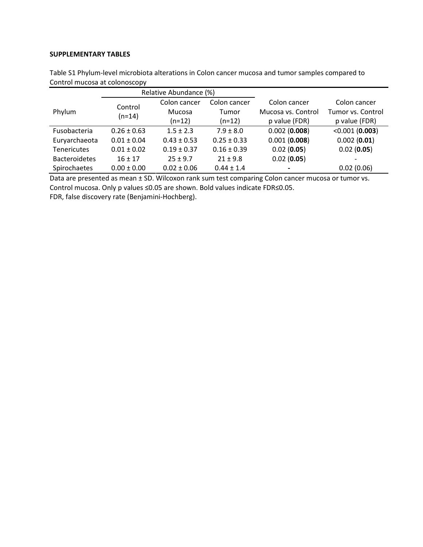## SUPPLEMENTARY TABLES

|                      | Relative Abundance (%) |                                    |                                   |                                                     |                                                    |
|----------------------|------------------------|------------------------------------|-----------------------------------|-----------------------------------------------------|----------------------------------------------------|
| Phylum               | Control<br>$(n=14)$    | Colon cancer<br>Mucosa<br>$(n=12)$ | Colon cancer<br>Tumor<br>$(n=12)$ | Colon cancer<br>Mucosa vs. Control<br>p value (FDR) | Colon cancer<br>Tumor vs. Control<br>p value (FDR) |
| Fusobacteria         | $0.26 \pm 0.63$        | $1.5 \pm 2.3$                      | $7.9 \pm 8.0$                     | 0.002(0.008)                                        | <0.001(0.003)                                      |
| Euryarchaeota        | $0.01 \pm 0.04$        | $0.43 \pm 0.53$                    | $0.25 \pm 0.33$                   | 0.001(0.008)                                        | 0.002(0.01)                                        |
| <b>Tenericutes</b>   | $0.01 \pm 0.02$        | $0.19 \pm 0.37$                    | $0.16 \pm 0.39$                   | 0.02(0.05)                                          | 0.02(0.05)                                         |
| <b>Bacteroidetes</b> | $16 \pm 17$            | $25 \pm 9.7$                       | $21 \pm 9.8$                      | 0.02(0.05)                                          | $\overline{\phantom{0}}$                           |
| Spirochaetes         | $0.00 \pm 0.00$        | $0.02 \pm 0.06$                    | $0.44 \pm 1.4$                    |                                                     | 0.02(0.06)                                         |

Table S1 Phylum-level microbiota alterations in Colon cancer mucosa and tumor samples compared to Control mucosa at colonoscopy

Data are presented as mean ± SD. Wilcoxon rank sum test comparing Colon cancer mucosa or tumor vs. Control mucosa. Only p values ≤0.05 are shown. Bold values indicate FDR≤0.05.

FDR, false discovery rate (Benjamini-Hochberg).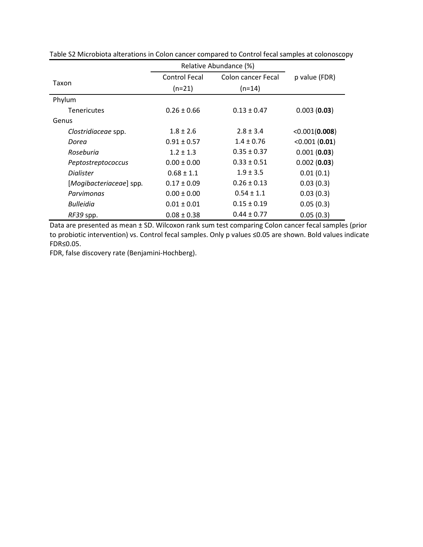|                         | Relative Abundance (%) |                    |               |
|-------------------------|------------------------|--------------------|---------------|
|                         | <b>Control Fecal</b>   | Colon cancer Fecal | p value (FDR) |
| Taxon                   | $(n=21)$               | $(n=14)$           |               |
| Phylum                  |                        |                    |               |
| <b>Tenericutes</b>      | $0.26 \pm 0.66$        | $0.13 \pm 0.47$    | 0.003(0.03)   |
| Genus                   |                        |                    |               |
| Clostridiaceae spp.     | $1.8 \pm 2.6$          | $2.8 \pm 3.4$      | <0.001(0.008) |
| Dorea                   | $0.91 \pm 0.57$        | $1.4 \pm 0.76$     | < 0.001(0.01) |
| Roseburia               | $1.2 \pm 1.3$          | $0.35 \pm 0.37$    | 0.001(0.03)   |
| Peptostreptococcus      | $0.00 \pm 0.00$        | $0.33 \pm 0.51$    | 0.002(0.03)   |
| Dialister               | $0.68 \pm 1.1$         | $1.9 \pm 3.5$      | 0.01(0.1)     |
| [Mogibacteriaceae] spp. | $0.17 \pm 0.09$        | $0.26 \pm 0.13$    | 0.03(0.3)     |
| Parvimonas              | $0.00 \pm 0.00$        | $0.54 \pm 1.1$     | 0.03(0.3)     |
| Bulleidia               | $0.01 \pm 0.01$        | $0.15 \pm 0.19$    | 0.05(0.3)     |
| RF39 spp.               | $0.08 \pm 0.38$        | $0.44 \pm 0.77$    | 0.05(0.3)     |

Table S2 Microbiota alterations in Colon cancer compared to Control fecal samples at colonoscopy

Data are presented as mean ± SD. Wilcoxon rank sum test comparing Colon cancer fecal samples (prior to probiotic intervention) vs. Control fecal samples. Only p values ≤0.05 are shown. Bold values indicate FDR≤0.05.

FDR, false discovery rate (Benjamini-Hochberg).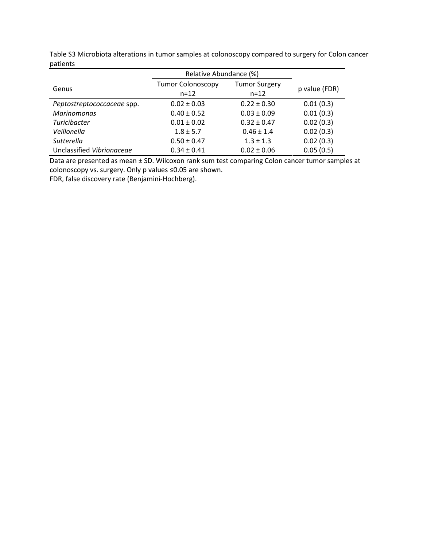|                            | Relative Abundance (%)               |                                  |               |
|----------------------------|--------------------------------------|----------------------------------|---------------|
| Genus                      | <b>Tumor Colonoscopy</b><br>$n = 12$ | <b>Tumor Surgery</b><br>$n = 12$ | p value (FDR) |
| Peptostreptococcaceae spp. | $0.02 \pm 0.03$                      | $0.22 \pm 0.30$                  | 0.01(0.3)     |
| <b>Marinomonas</b>         | $0.40 \pm 0.52$                      | $0.03 \pm 0.09$                  | 0.01(0.3)     |
| <b>Turicibacter</b>        | $0.01 \pm 0.02$                      | $0.32 \pm 0.47$                  | 0.02(0.3)     |
| Veillonella                | $1.8 \pm 5.7$                        | $0.46 \pm 1.4$                   | 0.02(0.3)     |
| Sutterella                 | $0.50 \pm 0.47$                      | $1.3 \pm 1.3$                    | 0.02(0.3)     |
| Unclassified Vibrionaceae  | $0.34 \pm 0.41$                      | $0.02 \pm 0.06$                  | 0.05(0.5)     |

Table S3 Microbiota alterations in tumor samples at colonoscopy compared to surgery for Colon cancer patients

Data are presented as mean ± SD. Wilcoxon rank sum test comparing Colon cancer tumor samples at colonoscopy vs. surgery. Only p values ≤0.05 are shown.

FDR, false discovery rate (Benjamini-Hochberg).